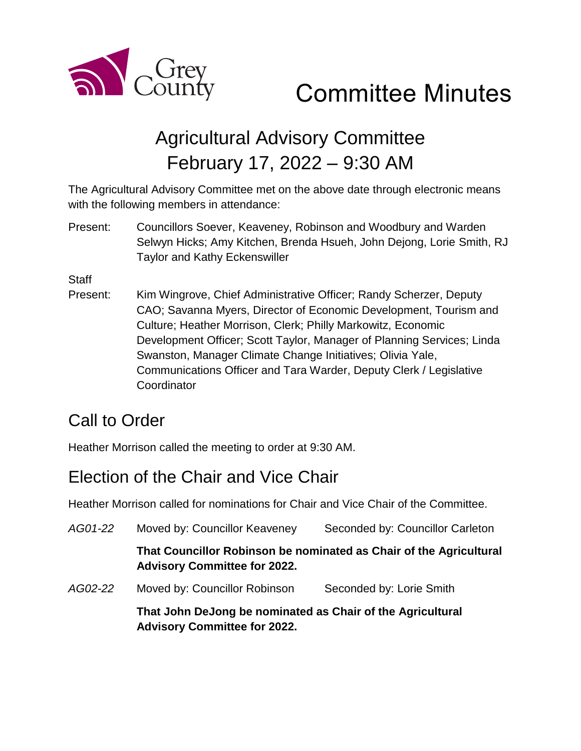

# Agricultural Advisory Committee February 17, 2022 – 9:30 AM

The Agricultural Advisory Committee met on the above date through electronic means with the following members in attendance:

Present: Councillors Soever, Keaveney, Robinson and Woodbury and Warden Selwyn Hicks; Amy Kitchen, Brenda Hsueh, John Dejong, Lorie Smith, RJ Taylor and Kathy Eckenswiller

**Staff** 

Present: Kim Wingrove, Chief Administrative Officer; Randy Scherzer, Deputy CAO; Savanna Myers, Director of Economic Development, Tourism and Culture; Heather Morrison, Clerk; Philly Markowitz, Economic Development Officer; Scott Taylor, Manager of Planning Services; Linda Swanston, Manager Climate Change Initiatives; Olivia Yale, Communications Officer and Tara Warder, Deputy Clerk / Legislative **Coordinator** 

# Call to Order

Heather Morrison called the meeting to order at 9:30 AM.

# Election of the Chair and Vice Chair

Heather Morrison called for nominations for Chair and Vice Chair of the Committee.

| AG01-22 | Moved by: Councillor Keaveney                                                                             | Seconded by: Councillor Carleton |
|---------|-----------------------------------------------------------------------------------------------------------|----------------------------------|
|         | That Councillor Robinson be nominated as Chair of the Agricultural<br><b>Advisory Committee for 2022.</b> |                                  |
| AG02-22 | Moved by: Councillor Robinson                                                                             | Seconded by: Lorie Smith         |
|         | That John DeJong be nominated as Chair of the Agricultural<br><b>Advisory Committee for 2022.</b>         |                                  |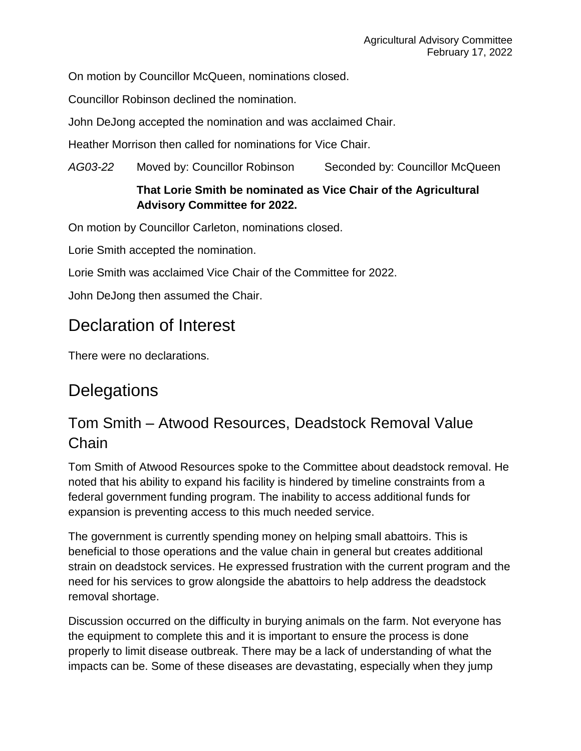On motion by Councillor McQueen, nominations closed.

Councillor Robinson declined the nomination.

John DeJong accepted the nomination and was acclaimed Chair.

Heather Morrison then called for nominations for Vice Chair.

*AG03-22* Moved by: Councillor Robinson Seconded by: Councillor McQueen

#### **That Lorie Smith be nominated as Vice Chair of the Agricultural Advisory Committee for 2022.**

On motion by Councillor Carleton, nominations closed.

Lorie Smith accepted the nomination.

Lorie Smith was acclaimed Vice Chair of the Committee for 2022.

John DeJong then assumed the Chair.

### Declaration of Interest

There were no declarations.

### **Delegations**

#### Tom Smith – Atwood Resources, Deadstock Removal Value **Chain**

Tom Smith of Atwood Resources spoke to the Committee about deadstock removal. He noted that his ability to expand his facility is hindered by timeline constraints from a federal government funding program. The inability to access additional funds for expansion is preventing access to this much needed service.

The government is currently spending money on helping small abattoirs. This is beneficial to those operations and the value chain in general but creates additional strain on deadstock services. He expressed frustration with the current program and the need for his services to grow alongside the abattoirs to help address the deadstock removal shortage.

Discussion occurred on the difficulty in burying animals on the farm. Not everyone has the equipment to complete this and it is important to ensure the process is done properly to limit disease outbreak. There may be a lack of understanding of what the impacts can be. Some of these diseases are devastating, especially when they jump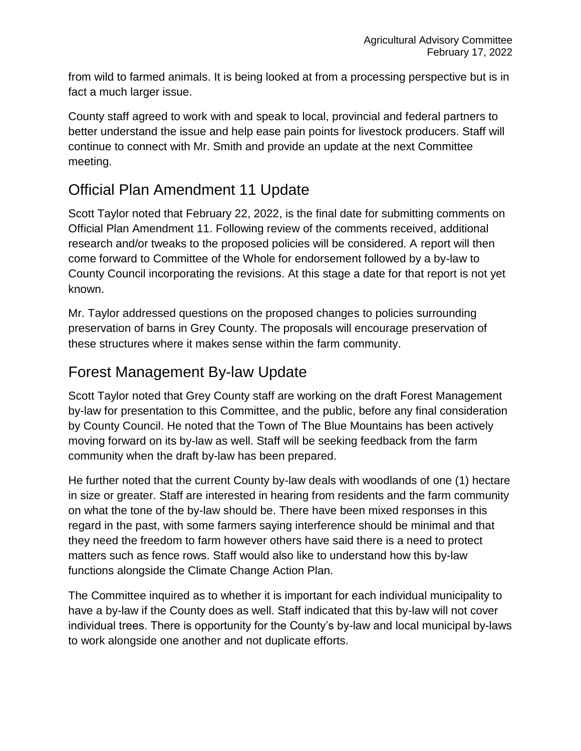from wild to farmed animals. It is being looked at from a processing perspective but is in fact a much larger issue.

County staff agreed to work with and speak to local, provincial and federal partners to better understand the issue and help ease pain points for livestock producers. Staff will continue to connect with Mr. Smith and provide an update at the next Committee meeting.

#### Official Plan Amendment 11 Update

Scott Taylor noted that February 22, 2022, is the final date for submitting comments on Official Plan Amendment 11. Following review of the comments received, additional research and/or tweaks to the proposed policies will be considered. A report will then come forward to Committee of the Whole for endorsement followed by a by-law to County Council incorporating the revisions. At this stage a date for that report is not yet known.

Mr. Taylor addressed questions on the proposed changes to policies surrounding preservation of barns in Grey County. The proposals will encourage preservation of these structures where it makes sense within the farm community.

#### Forest Management By-law Update

Scott Taylor noted that Grey County staff are working on the draft Forest Management by-law for presentation to this Committee, and the public, before any final consideration by County Council. He noted that the Town of The Blue Mountains has been actively moving forward on its by-law as well. Staff will be seeking feedback from the farm community when the draft by-law has been prepared.

He further noted that the current County by-law deals with woodlands of one (1) hectare in size or greater. Staff are interested in hearing from residents and the farm community on what the tone of the by-law should be. There have been mixed responses in this regard in the past, with some farmers saying interference should be minimal and that they need the freedom to farm however others have said there is a need to protect matters such as fence rows. Staff would also like to understand how this by-law functions alongside the Climate Change Action Plan.

The Committee inquired as to whether it is important for each individual municipality to have a by-law if the County does as well. Staff indicated that this by-law will not cover individual trees. There is opportunity for the County's by-law and local municipal by-laws to work alongside one another and not duplicate efforts.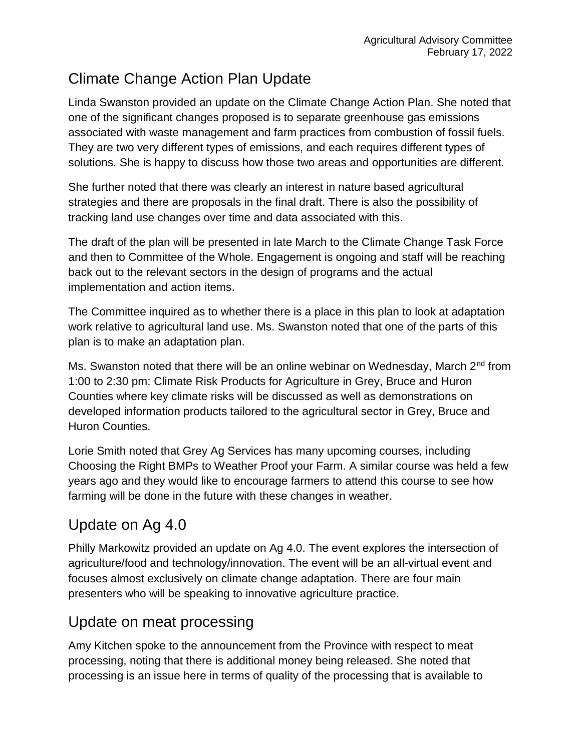### Climate Change Action Plan Update

Linda Swanston provided an update on the Climate Change Action Plan. She noted that one of the significant changes proposed is to separate greenhouse gas emissions associated with waste management and farm practices from combustion of fossil fuels. They are two very different types of emissions, and each requires different types of solutions. She is happy to discuss how those two areas and opportunities are different.

She further noted that there was clearly an interest in nature based agricultural strategies and there are proposals in the final draft. There is also the possibility of tracking land use changes over time and data associated with this.

The draft of the plan will be presented in late March to the Climate Change Task Force and then to Committee of the Whole. Engagement is ongoing and staff will be reaching back out to the relevant sectors in the design of programs and the actual implementation and action items.

The Committee inquired as to whether there is a place in this plan to look at adaptation work relative to agricultural land use. Ms. Swanston noted that one of the parts of this plan is to make an adaptation plan.

Ms. Swanston noted that there will be an online webinar on Wednesday, March 2<sup>nd</sup> from 1:00 to 2:30 pm: Climate Risk Products for Agriculture in Grey, Bruce and Huron Counties where key climate risks will be discussed as well as demonstrations on developed information products tailored to the agricultural sector in Grey, Bruce and Huron Counties.

Lorie Smith noted that Grey Ag Services has many upcoming courses, including Choosing the Right BMPs to Weather Proof your Farm. A similar course was held a few years ago and they would like to encourage farmers to attend this course to see how farming will be done in the future with these changes in weather.

#### Update on Ag 4.0

Philly Markowitz provided an update on Ag 4.0. The event explores the intersection of agriculture/food and technology/innovation. The event will be an all-virtual event and focuses almost exclusively on climate change adaptation. There are four main presenters who will be speaking to innovative agriculture practice.

#### Update on meat processing

Amy Kitchen spoke to the announcement from the Province with respect to meat processing, noting that there is additional money being released. She noted that processing is an issue here in terms of quality of the processing that is available to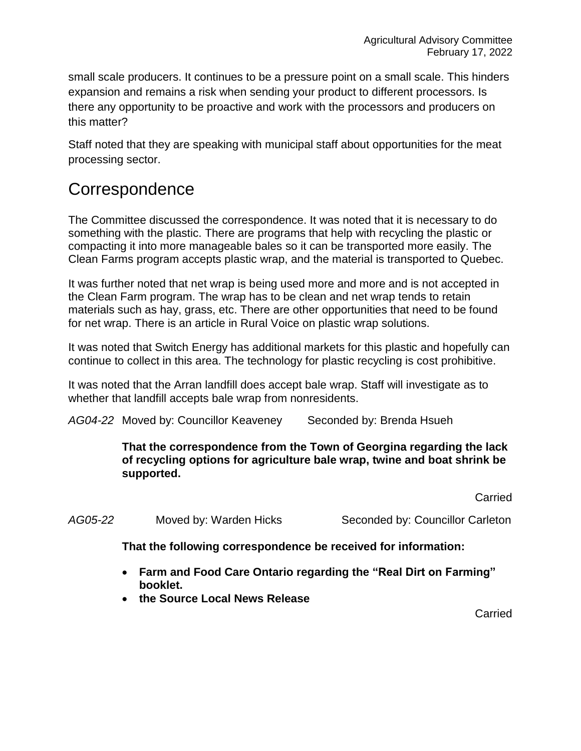small scale producers. It continues to be a pressure point on a small scale. This hinders expansion and remains a risk when sending your product to different processors. Is there any opportunity to be proactive and work with the processors and producers on this matter?

Staff noted that they are speaking with municipal staff about opportunities for the meat processing sector.

#### **Correspondence**

The Committee discussed the correspondence. It was noted that it is necessary to do something with the plastic. There are programs that help with recycling the plastic or compacting it into more manageable bales so it can be transported more easily. The Clean Farms program accepts plastic wrap, and the material is transported to Quebec.

It was further noted that net wrap is being used more and more and is not accepted in the Clean Farm program. The wrap has to be clean and net wrap tends to retain materials such as hay, grass, etc. There are other opportunities that need to be found for net wrap. There is an article in Rural Voice on plastic wrap solutions.

It was noted that Switch Energy has additional markets for this plastic and hopefully can continue to collect in this area. The technology for plastic recycling is cost prohibitive.

It was noted that the Arran landfill does accept bale wrap. Staff will investigate as to whether that landfill accepts bale wrap from nonresidents.

AG04-22 Moved by: Councillor Keaveney Seconded by: Brenda Hsueh

#### **That the correspondence from the Town of Georgina regarding the lack of recycling options for agriculture bale wrap, twine and boat shrink be supported.**

**Carried** 

AG05-22 Moved by: Warden Hicks Seconded by: Councillor Carleton

**That the following correspondence be received for information:**

- **Farm and Food Care Ontario regarding the "Real Dirt on Farming" booklet.**
- **the Source Local News Release**

Carried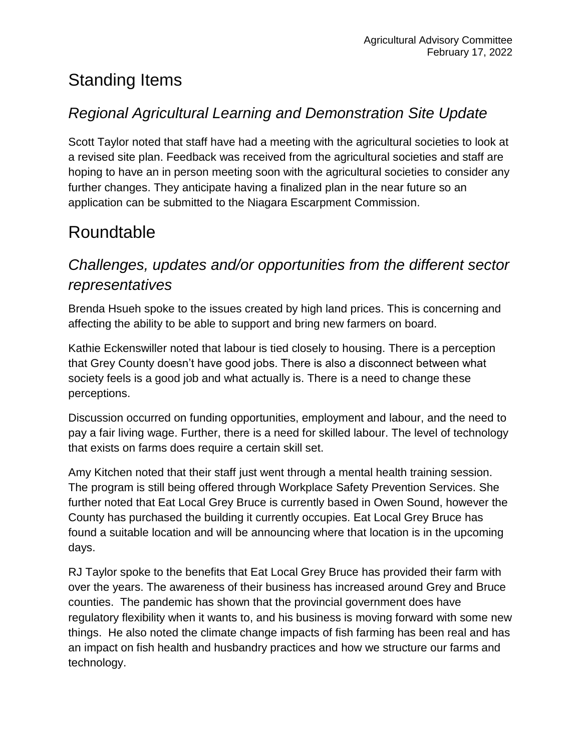# Standing Items

#### *Regional Agricultural Learning and Demonstration Site Update*

Scott Taylor noted that staff have had a meeting with the agricultural societies to look at a revised site plan. Feedback was received from the agricultural societies and staff are hoping to have an in person meeting soon with the agricultural societies to consider any further changes. They anticipate having a finalized plan in the near future so an application can be submitted to the Niagara Escarpment Commission.

# Roundtable

#### *Challenges, updates and/or opportunities from the different sector representatives*

Brenda Hsueh spoke to the issues created by high land prices. This is concerning and affecting the ability to be able to support and bring new farmers on board.

Kathie Eckenswiller noted that labour is tied closely to housing. There is a perception that Grey County doesn't have good jobs. There is also a disconnect between what society feels is a good job and what actually is. There is a need to change these perceptions.

Discussion occurred on funding opportunities, employment and labour, and the need to pay a fair living wage. Further, there is a need for skilled labour. The level of technology that exists on farms does require a certain skill set.

Amy Kitchen noted that their staff just went through a mental health training session. The program is still being offered through Workplace Safety Prevention Services. She further noted that Eat Local Grey Bruce is currently based in Owen Sound, however the County has purchased the building it currently occupies. Eat Local Grey Bruce has found a suitable location and will be announcing where that location is in the upcoming days.

RJ Taylor spoke to the benefits that Eat Local Grey Bruce has provided their farm with over the years. The awareness of their business has increased around Grey and Bruce counties. The pandemic has shown that the provincial government does have regulatory flexibility when it wants to, and his business is moving forward with some new things. He also noted the climate change impacts of fish farming has been real and has an impact on fish health and husbandry practices and how we structure our farms and technology.